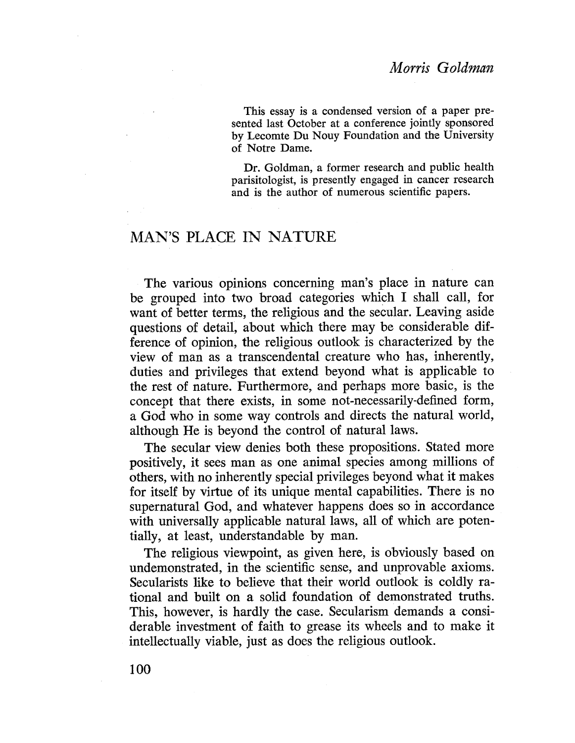This essay is a condensed version of a paper presented last October at a conference jointly sponsored by Lecomte Du Nouy Foundation and the University of Notre Dame.

Dr. Goldman, a former research and public health parisitologist, is presently engaged in cancer research and is the author of numerous scientific papers.

## MAN'S PLACE IN NATURE

The various opinions concerning man's place in nature can be grouped into two broad categories which I shall call, for want of better terms, the religious and the secular. Leaving aside questions of detail, about which there may be considerable difference of opinion, the religious outlook is characterized by the view of man as a transcendental creature who has, inherently, duties and privileges that extend beyond what is applicable to the rest of nature. Furthermore, and perhaps more basic, is the concept that there exists, in some not-necessarily-defined form, a God who in some way controls and directs the natural world, although He is beyond the control of natural laws.

The secular view denies both these propositions. Stated more positively, it sees man as one animal species among milions of others, with no inherently special privileges beyond what it makes for itself by virtue of its unique mental capabilities. There is no supernatural God, and whatever happens does so in accordance with universally applicable natural laws, all of which are potentially, at least, understandable by man.

The religious viewpoint, as given here, is obviously based on undemonstrated, in the scientific sense, and unprovable axioms. Secularists like to believe that their world outlook is coldly rational and built on a solid foundation of demonstrated truths. This, however, is hardly the case. Secularism demands a considerable investment of faith to grease its wheels and to make it intellectually viable, just as docs the religious outlook.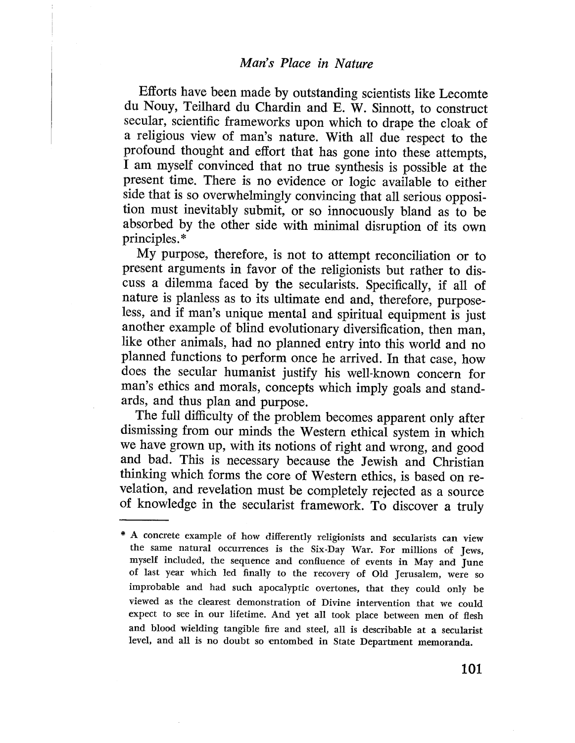Efforts have been made by outstanding scientists like Lecomte du Nouy, Teilhard du Chardin and E. W. Sinnott, to construct sccular, scientific frameworks upon which to drape the cloak of a religious view of man's nature. With all due respect to the profound thought and effort that has gone into these attempts, I am myself convinced that no true synthesis is possible at the present time. There is no evidencc or logic available to either sidc that is so overwhelmingly convincing that all serious opposition must inevitably submit, or so innocuously bland as to be absorbed by the other side with minimal disruption of its own principles. \*

My purpose, therefore, is not to attempt reconcilation or to present arguments in favor of the religionists but rather to discuss a dilemma faced by the secularists. Specifically, if all of nature is planless as to its ultimate end and, therefore, purposeless, and if man's unique mental and spiritual equipment is just another example of blind evolutionary diversification, then man, like other animals, had no planned entry into this world and no planned functions to perform once he arrived. In that case, how does the secular humanist justify his well-known concern for man's ethics and morals, concepts which imply goals and standards, and thus plan and purpose.

The full difficulty of the problem becomes apparent only after dismissing from our minds the Western ethical system in which we have grown up, with its notions of right and wrong, and good and bad. This is nccessary because the Jewish and Christian thinking which forms the core of Western ethics, is based on revelation, and revelation must be completely rejected as a source of knowledge in the secularist framework. To discover a truly

A concrete example of how differently religionists and secularists can view the same natural occurrences is the Six-Day War. For millions of Jews, myself included, the sequence and conflueuce of events in May and June of last year which led finally to the recovery of Old Jerusalem, were so improbable and had such apocalyptic overtones, that they could only be viewed as the clearest demonstration of Divine intervention that we could expect to see in our lifetime. And yet all took place between men of flesh and blood wielding tangible fire and steel, all is describable at a secularist level, and all is no doubt so entombed in State Department memoranda.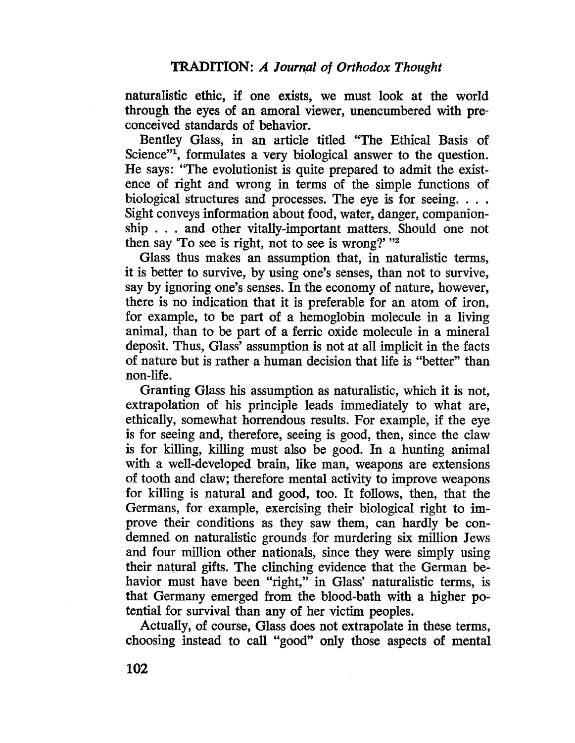naturalistic ethic, if one exists, we must look at the world through the eyes of an amoral viewer, unencumbered with preconceived standards of behavior.

Bentley Glass, in an article titled "The Ethical Basis of Science"<sup>1</sup>, formulates a very biological answer to the question. He says: "The evolutionist is quite prepared to admit the existence of right and wrong in terms of the simple functions of biological structures and processes. The eye is for seeing. . . . Sight conveys information about food, water, danger, companionship . . . and other vitally-important matters. Should one not then say 'To see is right, not to see is wrong?' "2"

Glass thus makes an assumption that, in naturalistic terms, it is better to survive, by using one's senses, than not to survive, say by ignoring one's senses. In the economy of nature, however, there is no indication that it is preferable for an atom of iron, for example, to be part of a hemoglobin molecule in a living animal, than to be part of a ferric oxide molecule in a mineral deposit. Thus, Glass' assumption is not at all implicit in the facts of nature but is rather a human decision that life is "better" than non-life.

Granting Glass his assumption as naturalistic, which it is not, extrapolation of his principle leads immediately to what are, ethically, somewhat horrendous results. For example, if the eye is for seeing and, therefore, seeing is good, then, since the claw is for killing, killing must also be good. In a hunting animal with a well-developed brain, like man, weapons are extensions of tooth and claw; therefore mental activity to improve weapons for killng is natural and good, too. It follows, then, that the Germans, for example, exercising their biological right to improve their conditions as they saw them, can hardly be condemned on naturalistic grounds for murdering six million Jews and four million other nationals, since they were simply using their natural gifts. The clinching evidence that the German behavior must have been "right," in Glass' naturalistic terms, is that Germany emerged from the blood-bath with a higher potential for survival than any of her victim peoples.

Actually, of course, Glass does not extrapolate in these terms, choosing instead to call "good" only those aspects of mental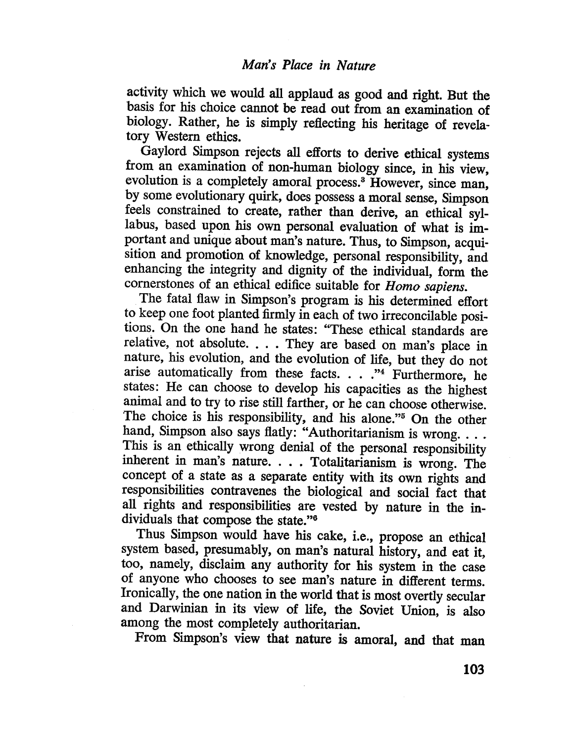activity which we would all applaud as good and right. But the basis for his choice cannot be read out from an examiation of biology. Rather, he is simply reflecting his heritage of revelatory Western ethics.

Gaylord Simpson rejects all efforts to derive ethical systems from an examination of non-human biology since, in his view, evolution is a completely amoral process.<sup>3</sup> However, since man, by some evolutionary quirk, does possess a moraI sense, Simpson feels constrained to create, rather than derive, an ethical syllabus, based upon his own personal evaluation of what is important and unique about man's nature. Thus, to Simpson, acquisition and promotion of knowledge, personal responsibilty, and enhancing the integrity and dignity of the individual, form the cornerstones of an ethical edifice suitable for Homo sapiens.

The fatal flaw in Simpson's program is his determined effort to keep one foot planted firmly in each of two irreconcilable positions. On the one hand he states: "These ethical standards are relative, not absolute. . . . They are based on man's place in nature, his evolution, and the evolution of life, but they do not arise automatically from these facts.  $\ldots$ ."<sup>4</sup> Furthermore, he states: He can choose to develop his capacities as the highest animal and to try to rise still farther, or he can choose otherwise. The choice is his responsibilty, and his alone."5 On the other hand, Simpson also says flatly: "Authoritarianism is wrong. . . . This is an ethically wrong denial of the personal responsibility inherent in man's nature. . . . Totalitarianism is wrong. The concept of a state as a separate entity with its own rights and responsibilties contravenes the biological and social fact that all rights and responsibilties are vested by nature in the individuals that compose the state."6

Thus Simpson would have his cake, i.e., propose an ethical system based, presumably, on man's natural history, and eat it, too, namely, disclaim any authority for his system in the case of anyone who chooses to see man's nature in different terms. Ironically, the one nation in the world that is most overtly secular and Darwinan in its view of life, the Soviet Union, is also among the most completely authoritarian.

From Simpson's view that nature is amoral, and that man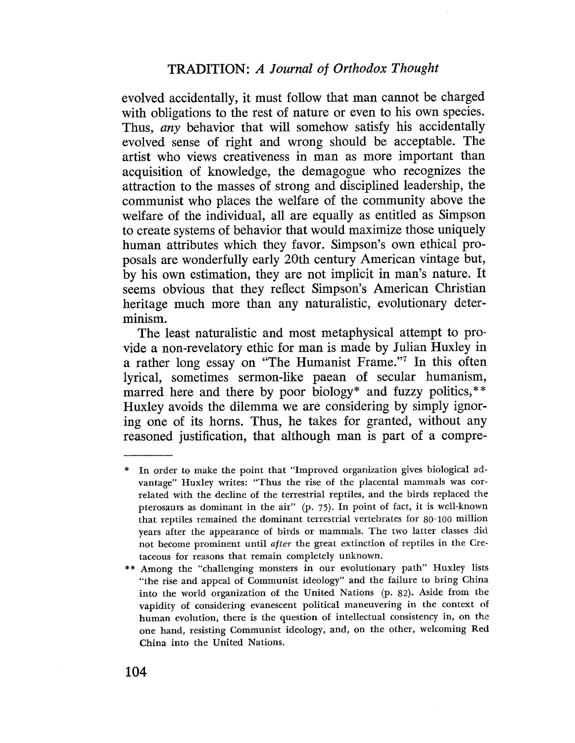evolved accidentally, it must follow that man cannot be charged with obligations to the rest of nature or even to his own species. Thus, any behavior that will somehow satisfy his accidentally evolved sense of right and wrong should be acceptable. The artist who views creativeness in man as more important than acquisition of knowledge, the demagogue who recognizes the attraction to the masses of strong and disciplined leadership, the communist who places the welfare of the community above the welfare of the individual, all are equally as entitled as Simpson to crcate systems of behavior that would maximize those uniquely human attributes which they favor. Simpson's own ethical proposals are wonderfully early 20th century American vintage but, by his own cstimation, they arc not implicit in man's nature. It seems obvious that they reflect Simpson's American Christian heritage much more than any naturalistic, evolutionary determinism.

The least naturalistic and most metaphysical attempt to provide a non-revelatory ethic for man is madc by Julian Huxley in a rather long essay on "The Humanist Frame."7 In this often lyrical, sometimes sermon-like paean of secular humanism, marred here and there by poor biology\* and fuzzy politics,\*\* Huxley avoids the dilemma we are considering by simply ignoring one of its horns. Thus, he takes for granted, without any reasoned justification, that although man is part of a compre-

In order to make the point that "Improved organization gives biological advantage" Huxley writes: "Thus the rise of the placental mammals was correlated with the decline of the terrestrial reptiles, and the birds replaced the pterosaurs as dominant in the air" (p. 75). In point of fact, it is well-known that reptiles remained the dominant terrestrial vertebrates for  $80-100$  million years after the appearance of birds or mammals. The two latter classes did not become prominent until after the great extinction of reptiles in the Cretaceous for reasons that remain completely unknown.

<sup>\*\*</sup> Among the "challenging monsters in our evolutionary path" Huxley lists "the rise and appeal of Communist ideology" and the failure to bring China into the world organization of the United Nations  $(p. 82)$ . Aside from the vapidity of considering evanescent political maneuvering in the context of human evolution, there is the question of intellectual consistency in, on the one hand, resisting Communist ideology, and, on the other, welcoming Red China into the United Nations.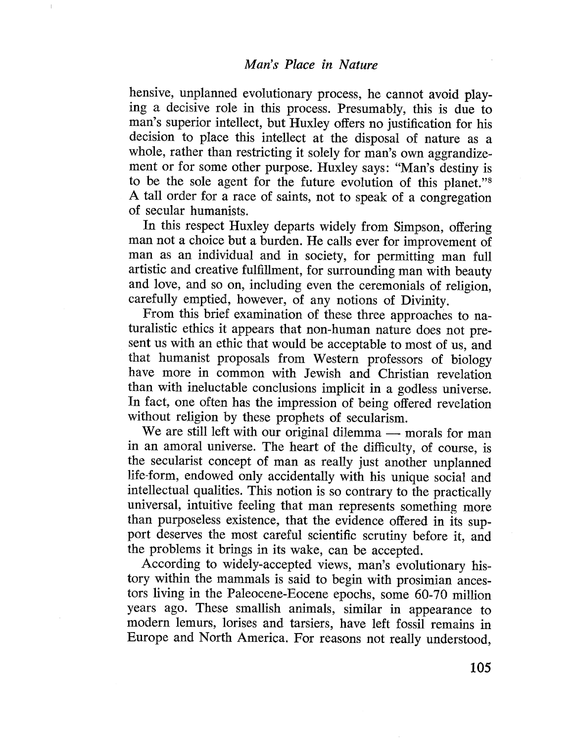hensive, unplanned evolutionary process, he cannot avoid playing a decisive role in this process. Presumably, this is due to man's superior intellect, but Huxley offers no justification for his decision to place this intellect at the disposal of nature as a whole, rather than restricting it solely for man's own aggrandizement or for some other purpose. Huxley says: "Man's destiny is to be the sole agent for the future evolution of this planet."8 A tall order for a race of saints, not to speak of a congregation of secular humanists.

In this respect Huxley departs widely from Simpson, offering man not a choicc but a burden. He calls ever for improvement of man as an individual and in society, for permitting man full artistic and creative fulfillment, for surrounding man with beauty and love, and so on, including even the ceremonials of religion, carefully emptied, however, of any notions of Divinity.

From this brief examination of these three approaches to naturalistic ethics it appears that non-human nature does not present us with an ethic that would be acceptable to most of us, and that humanist proposals from Western professors of biology have more in common with Jewish and Christian revelation than with ineluctable conclusions implicit in a godless universe. In fact, one often has the impression of being offered revelation without religion by these prophets of secularism.

We are still left with our original dilemma  $-$  morals for man in an amoral universe. The heart of the difficulty, of course, is the secularist concept of man as really just another unplanned lifc-form, endowed only accidentally with his unique social and intellectual qualitics. This notion is so contrary to the practically universal, intuitivc feeling that man represents something more than purposeless existence, that the evidence offered in its support deserves the most careful scientific scrutiny before it, and the problems it brings in its wake, can be accepted.

According to widely-accepted views, man's evolutionary history within the mammals is said to begin with prosimian ancestors living in the Paleocene-Eocene epochs, some 60-70 millon years ago. Thcse smallish animals, similar in appearance to modern lemurs, lorises and tarsiers, have left fossil remains in Europe and North America. For rcasons not really understood,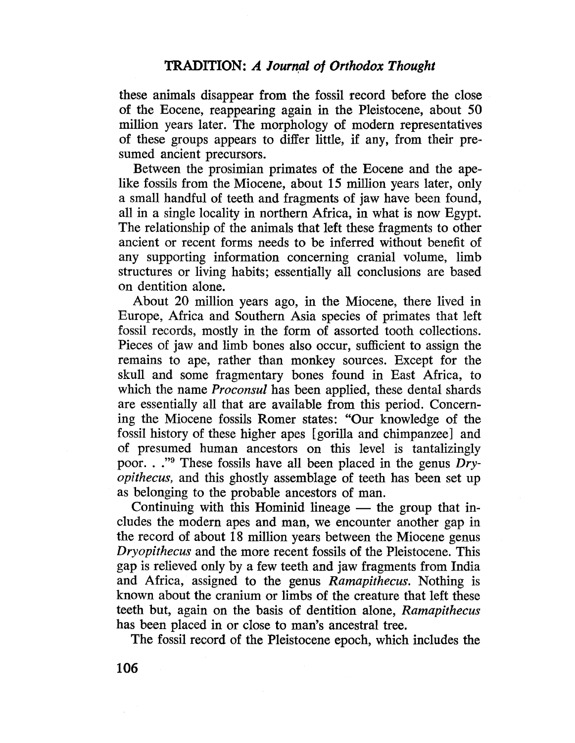these animals disappear from the fossil record before the close of the Eocene, reappearing again in the Pleistocene, about 50 million years later. The morphology of modern representatives of these groups appears to differ little, if any, from their presumed ancient precursors.

Between the prosimian primates of the Eocene and the apelike fossils from the Miocene, about 15 million years later, only a small handful of teeth and fragments of jaw have been found, all in a single locality in northern Africa, in what is now Egypt. The relationship of the animals that left these fragments to other ancient or recent forms needs to be inferred without benefit of any supporting information concerning cranial volume, limb structures or living habits; essentially all conclusions are based on dentition alone.

About 20 milion years ago, in the Miocene, there lived in Europe, Africa and Southern Asia species of primates that left fossil records, mostly in the form of assorted tooth collections. Pieces of jaw and limb bones also occur, sufficient to assign the remains to ape, rather than monkey sources, Except for the skull and some fragmentary bones found in East Africa, to which the name *Proconsul* has been applied, these dental shards are essentially all that are available from this period. Concerning the Miocene fossils Romer states: "Our knowledge of the fossil history of these higher apes (gorilla and chimpanzee) and of presumed human ancestors on this level is tantalizingly poor. . ."9 These fossils have all been placed in the genus Dryopithecus, and this ghostly assemblage of teeth has been set up as belonging to the probable ancestors of man.

Continuing with this Hominid lineage  $-$  the group that includes the modern apes and man, we encounter another gap in the record of about 18 milion years between the Miocene genus Dryopithecus and the more recent fossils of the Pleistocene. This gap is relieved only by a few teeth and jaw fragments from India and Africa, assigned to the genus Ramapithecus. Nothing is known about the cranium or limbs of the creature that left these teeth but, again on the basis of dentition alone, Ramapithecus has been placed in or close to man's ancestral tree.

The fossil record of the Pleistocene epoch, which includes the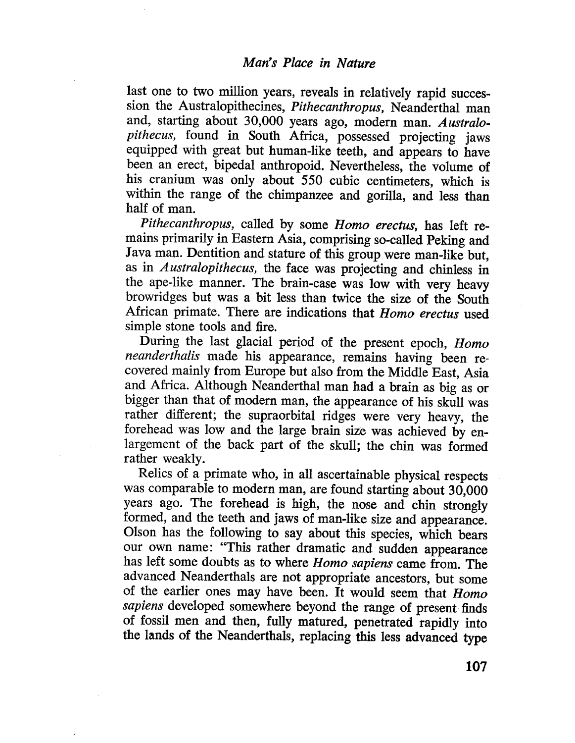last one to two million years, reveals in relatively rapid succession the Australopithecines, Pithecanthropus, Neanderthal man and, starting about 30,000 years ago, modern man. Australopithecus, found in South Africa, possessed projecting jaws equipped with great but human-like teeth, and appears to have been an erect, bipedal anthropoid. Nevertheless, the volume of his cranium was only about 550 cubic centimeters, which is within the range of the chimpanzee and gorila, and less than half of man.

Pithecanthropus, called by some Homo erectus, has left remains primarily in Eastern Asia, comprising so-called Peking and Java man. Dentition and stature of this group were man-like but, as in Australopithecus, the face was projecting and chinless in the ape-like manner. The brain-case was low with very heavy browridges but was a bit less than twice the size of the South African primate. There are indications that Homo erectus used simple stone tools and fire.

During the last glacial period of the present epoch, Homo neanderthalis made his appearance, remains having been recovered mainly from Europe but also from the Middle East, Asia and Africa. Although Neanderthal man had a brain as big as or bigger than that of modern man, the appearance of his skull was rather different; the supraorbital ridges were very heavy, the forehead was low and the large brain size was achieved by enlargement of the back part of the skull; the chin was formed rather weakly.

Relics of a primate who, in all ascertainable physical respects was comparable to modern man, are found starting about 30,000 years ago. The forehead is high, the nose and chin strongly formed, and the teeth and jaws of man-like size and appearance. Olson has the following to say about this species, which bears our own name: "This rather dramatic and sudden appearance has left some doubts as to where Homo sapiens came from. The advanced Neanderthals are not appropriate ancestors, but some of the earlier ones may have been. It would seem that Homo sapiens developed somewhere beyond the range of present finds of fossil men and then, fully matured, penetrated rapidly into the lands of the NeanderthaIs, replacing this less advanced type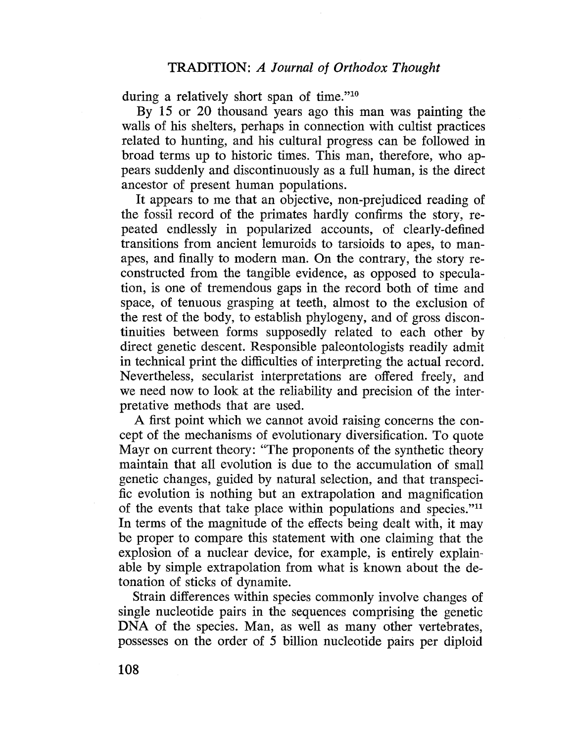during a relatively short span of time." $10$ 

By 15 or 20 thousand years ago this man was painting the walls of his shelters, perhaps in connection with cultist practices related to hunting, and his cultural progress can be followed in broad terms up to historic times. This man, therefore, who appears suddenly and discontinuously as a full human, is the direct ancestor of present human populations.

It appears to me that an objective, non-prejudiced reading of the fossil record of the primates hardly confirms the story, repeated endlessly in popularized accounts, of clearly-defined transitions from ancicnt lemuroids to tarsioids to apes, to manapes, and finally to modern man. On the contrary, the story reconstructed from the tangible evidence, as opposed to speculation, is one of tremendous gaps in the record both of timc and space, of tenuous grasping at teeth, almost to the exclusion of the rest of the body, to establish phylogeny, and of gross discontinuities between forms supposedly related to each other by direct genetic descent. Responsible paleontologists readily admit in technical print thc diffculties of interprcting the actual record. Nevertheless, secularist interpretations are offered freely, and we need now to look at the reliability and precision of the interpretative methods that are used.

A first point which we cannot avoid raising concerns the concept of the mechanisms of evolutionary diversification. To quote Mayr on current theory: "The proponents of the synthetic theory maintain that all evolution is due to the accumulation of small gcnetic changes, guided by natural selection, and that transpecific evolution is nothing but an extrapolation and magnification of the events that take place within populations and species."<sup>11</sup> In terms of the magnitude of the effects being dealt with, it may bc proper to compare this statement with one claiming that the explosion of a nuclear device, for example, is entirely explainable by simple extrapolation from what is known about the detonation of sticks of dynamite.

Strain differences within species commonly involve changes of single nucleotide pairs in thc sequences comprising the genetic DNA of the species. Man, as well as many other vertebrates, possesses on the order of 5 bilion nuclcotide pairs per diploid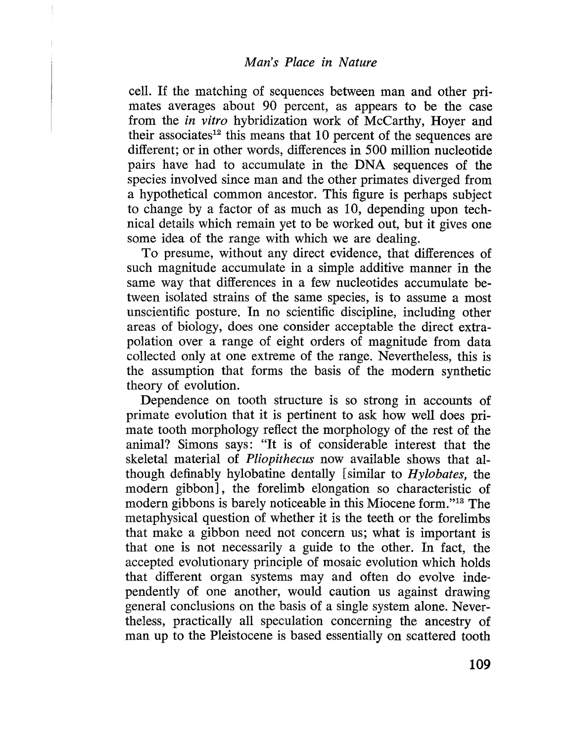celL. If the matching of sequences between man and other primates averages about 90 percent, as appears to be the case from the in vitro hybridization work of McCarthy, Hoyer and their associates<sup>12</sup> this means that 10 percent of the sequences are different; or in other words, diffcrences in 500 million nucleotide pairs have had to accumulate in the DNA sequences of the species involved since man and the other primates diverged from a hypothetical common ancestor. This figure is perhaps subject to change by a factor of as much as  $10$ , depending upon technical details which remain yet to be worked out, but it gives one some idea of the range with which we are dealing.

To presume, without any direct evidence, that differences of such magnitude accumulate in a simple additive manner in the same way that differences in a few nucleotides accumulate between isolated strains of the same species, is to assume a most unscientific posture. In no scicntific discipline, including other areas of biology, does one consider acceptable the direct extrapolation over a range of eight orders of magnitude from data collected only at one extreme of the range. Nevertheless, this is the assumption that forms the basis of the modern synthetic theory of evolution.

Dependence on tooth structure is so strong in accounts of primate evolution that it is pertinent to ask how well does primate tooth morphology reflect the morphology of the rest of the animal? Simons says: "It is of considerable interest that the skeletal material of Pliopithecus now available shows that although definably hylobatine dentally (similar to Hylobates, the modern gibbon], the forelimb elongation so characteristic of modern gibbons is barely noticeable in this Miocene form."ls The metaphysical question of whether it is the teeth or the forelimbs that make a gibbon need not concern us; what is important is that one is not necessarily a guide to the other. In fact, the accepted evolutionary principle of mosaic evolution which holds that different organ systems may and often do evolve independently of one another, would caution us against drawing general conclusions on the basis of a single system alone. Nevertheless, practically all speculation concerning the ancestry of man up to the Pleistocene is based essentially on scattered tooth